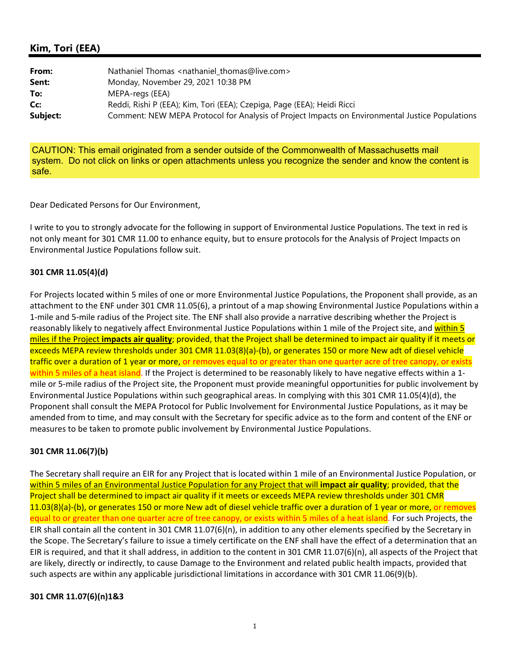## **Kim, Tori (EEA)**

| From:    | Nathaniel Thomas <nathaniel thomas@live.com=""></nathaniel>                                     |
|----------|-------------------------------------------------------------------------------------------------|
| Sent:    | Monday, November 29, 2021 10:38 PM                                                              |
| To:      | MEPA-regs (EEA)                                                                                 |
| Cc:      | Reddi, Rishi P (EEA); Kim, Tori (EEA); Czepiga, Page (EEA); Heidi Ricci                         |
| Subject: | Comment: NEW MEPA Protocol for Analysis of Project Impacts on Environmental Justice Populations |

CAUTION: This email originated from a sender outside of the Commonwealth of Massachusetts mail system. Do not click on links or open attachments unless you recognize the sender and know the content is safe.

Dear Dedicated Persons for Our Environment,

I write to you to strongly advocate for the following in support of Environmental Justice Populations. The text in red is not only meant for 301 CMR 11.00 to enhance equity, but to ensure protocols for the Analysis of Project Impacts on Environmental Justice Populations follow suit.

## **301 CMR 11.05(4)(d)**

For Projects located within 5 miles of one or more Environmental Justice Populations, the Proponent shall provide, as an attachment to the ENF under 301 CMR 11.05(6), a printout of a map showing Environmental Justice Populations within a 1‐mile and 5‐mile radius of the Project site. The ENF shall also provide a narrative describing whether the Project is reasonably likely to negatively affect Environmental Justice Populations within 1 mile of the Project site, and within 5 miles if the Project **impacts air quality**; provided, that the Project shall be determined to impact air quality if it meets or exceeds MEPA review thresholds under 301 CMR 11.03(8)(a)‐(b), or generates 150 or more New adt of diesel vehicle traffic over a duration of 1 year or more, or removes equal to or greater than one quarter acre of tree canopy, or exists within 5 miles of a heat island. If the Project is determined to be reasonably likely to have negative effects within a 1mile or 5-mile radius of the Project site, the Proponent must provide meaningful opportunities for public involvement by Environmental Justice Populations within such geographical areas. In complying with this 301 CMR 11.05(4)(d), the Proponent shall consult the MEPA Protocol for Public Involvement for Environmental Justice Populations, as it may be amended from to time, and may consult with the Secretary for specific advice as to the form and content of the ENF or measures to be taken to promote public involvement by Environmental Justice Populations.

## **301 CMR 11.06(7)(b)**

The Secretary shall require an EIR for any Project that is located within 1 mile of an Environmental Justice Population, or within 5 miles of an Environmental Justice Population for any Project that will **impact air quality**; provided, that the Project shall be determined to impact air quality if it meets or exceeds MEPA review thresholds under 301 CMR 11.03(8)(a)‐(b), or generates 150 or more New adt of diesel vehicle traffic over a duration of 1 year or more, or removes equal to or greater than one quarter acre of tree canopy, or exists within 5 miles of a heat island. For such Projects, the EIR shall contain all the content in 301 CMR 11.07(6)(n), in addition to any other elements specified by the Secretary in the Scope. The Secretary's failure to issue a timely certificate on the ENF shall have the effect of a determination that an EIR is required, and that it shall address, in addition to the content in 301 CMR 11.07(6)(n), all aspects of the Project that are likely, directly or indirectly, to cause Damage to the Environment and related public health impacts, provided that such aspects are within any applicable jurisdictional limitations in accordance with 301 CMR 11.06(9)(b).

## **301 CMR 11.07(6)(n)1&3**